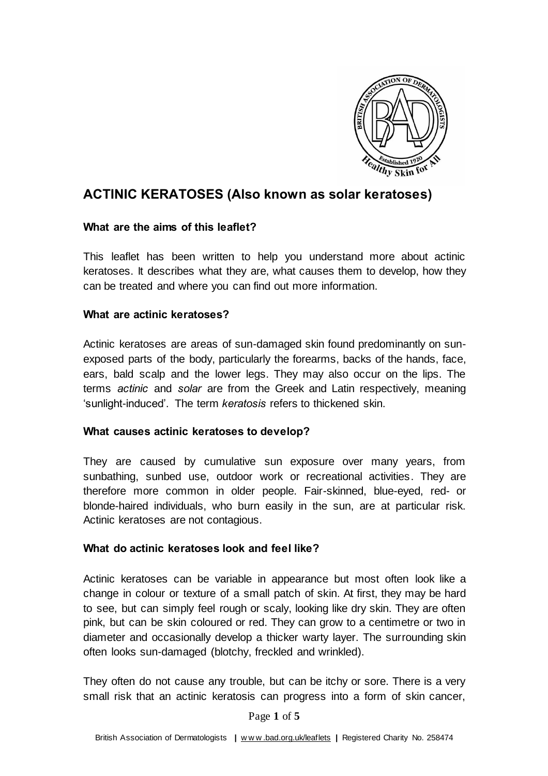

# **ACTINIC KERATOSES (Also known as solar keratoses)**

#### **What are the aims of this leaflet?**

This leaflet has been written to help you understand more about actinic keratoses. It describes what they are, what causes them to develop, how they can be treated and where you can find out more information.

### **What are actinic keratoses?**

Actinic keratoses are areas of sun-damaged skin found predominantly on sunexposed parts of the body, particularly the forearms, backs of the hands, face, ears, bald scalp and the lower legs. They may also occur on the lips. The terms *actinic* and *solar* are from the Greek and Latin respectively, meaning 'sunlight-induced'. The term *keratosis* refers to thickened skin.

#### **What causes actinic keratoses to develop?**

They are caused by cumulative sun exposure over many years, from sunbathing, sunbed use, outdoor work or recreational activities. They are therefore more common in older people. Fair-skinned, blue-eyed, red- or blonde-haired individuals, who burn easily in the sun, are at particular risk. Actinic keratoses are not contagious.

#### **What do actinic keratoses look and feel like?**

Actinic keratoses can be variable in appearance but most often look like a change in colour or texture of a small patch of skin. At first, they may be hard to see, but can simply feel rough or scaly, looking like dry skin. They are often pink, but can be skin coloured or red. They can grow to a centimetre or two in diameter and occasionally develop a thicker warty layer. The surrounding skin often looks sun-damaged (blotchy, freckled and wrinkled).

They often do not cause any trouble, but can be itchy or sore. There is a very small risk that an actinic keratosis can progress into a form of skin cancer,

Page **1** of **5**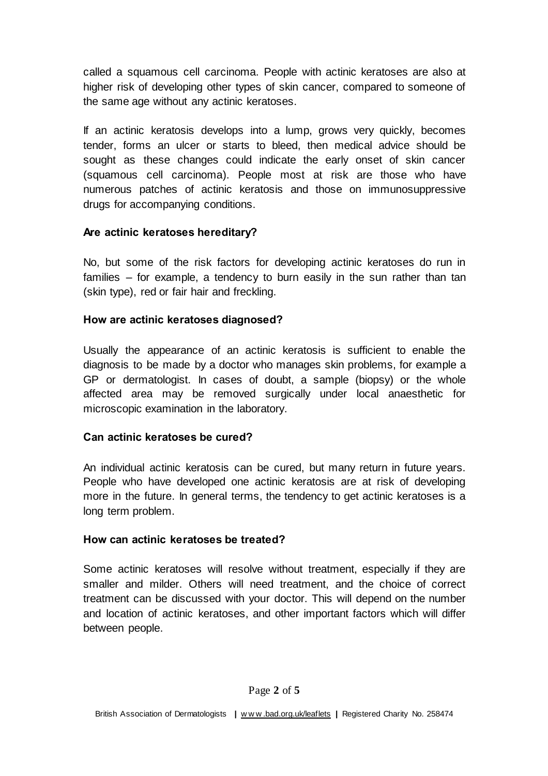called a squamous cell carcinoma. People with actinic keratoses are also at higher risk of developing other types of skin cancer, compared to someone of the same age without any actinic keratoses.

If an actinic keratosis develops into a lump, grows very quickly, becomes tender, forms an ulcer or starts to bleed, then medical advice should be sought as these changes could indicate the early onset of skin cancer [\(squamous cell carcinoma\)](http://www.bad.org.uk/site/876/default.aspx). People most at risk are those who have numerous patches of actinic keratosis and those on immunosuppressive drugs for accompanying conditions.

### **Are actinic keratoses hereditary?**

No, but some of the risk factors for developing actinic keratoses do run in families – for example, a tendency to burn easily in the sun rather than tan (skin type), red or fair hair and freckling.

# **How are actinic keratoses diagnosed?**

Usually the appearance of an actinic keratosis is sufficient to enable the diagnosis to be made by a doctor who manages skin problems, for example a GP or dermatologist. In cases of doubt, a sample (biopsy) or the whole affected area may be removed surgically under local anaesthetic for microscopic examination in the laboratory.

# **Can actinic keratoses be cured?**

An individual actinic keratosis can be cured, but many return in future years. People who have developed one actinic keratosis are at risk of developing more in the future. In general terms, the tendency to get actinic keratoses is a long term problem.

# **How can actinic keratoses be treated?**

Some actinic keratoses will resolve without treatment, especially if they are smaller and milder. Others will need treatment, and the choice of correct treatment can be discussed with your doctor. This will depend on the number and location of actinic keratoses, and other important factors which will differ between people.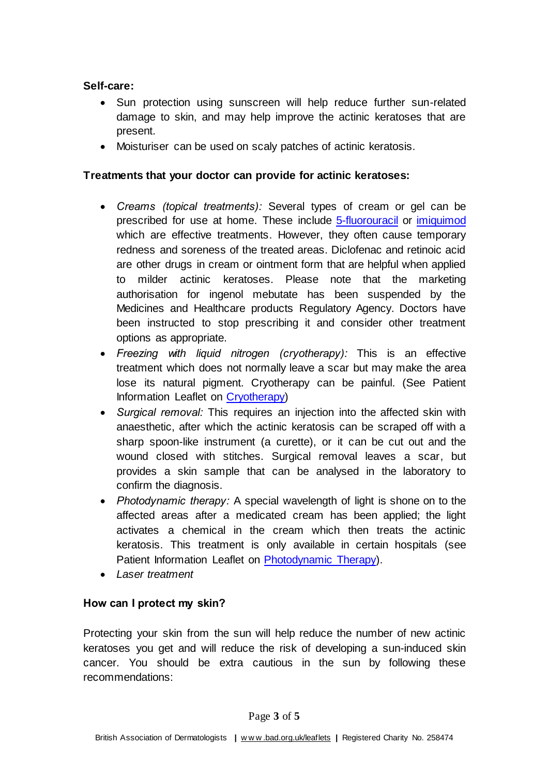### **Self-care:**

- Sun protection using sunscreen will help reduce further sun-related damage to skin, and may help improve the actinic keratoses that are present.
- Moisturiser can be used on scaly patches of actinic keratosis.

# **Treatments that your doctor can provide for actinic keratoses:**

- *Creams (topical treatments):* Several types of cream or gel can be prescribed for use at home. These includ[e 5-fluorouracil](https://www.bad.org.uk/patient-information-leaflets/5-fluorouracil-cream) or [imiquimod](https://www.bad.org.uk/for-the-public/patient-information-leaflets/imiquimod-cream) which are effective treatments. However, they often cause temporary redness and soreness of the treated areas. Diclofenac and retinoic acid are other drugs in cream or ointment form that are helpful when applied to milder actinic keratoses. Please note that the marketing authorisation for ingenol mebutate has been suspended by the Medicines and Healthcare products Regulatory Agency. Doctors have been instructed to stop prescribing it and consider other treatment options as appropriate.
- *Freezing with liquid nitrogen (cryotherapy):* This is an effective treatment which does not normally leave a scar but may make the area lose its natural pigment. Cryotherapy can be painful. (See Patient Information Leaflet on [Cryotherapy\)](http://www.bad.org.uk/for-the-public/patient-information-leaflets/cryotherapy)
- *Surgical removal:* This requires an injection into the affected skin with anaesthetic, after which the actinic keratosis can be scraped off with a sharp spoon-like instrument (a curette), or it can be cut out and the wound closed with stitches. Surgical removal leaves a scar, but provides a skin sample that can be analysed in the laboratory to confirm the diagnosis.
- *Photodynamic therapy:* A special wavelength of light is shone on to the affected areas after a medicated cream has been applied; the light activates a chemical in the cream which then treats the actinic keratosis. This treatment is only available in certain hospitals (see Patient Information Leaflet on [Photodynamic Therapy\)](http://www.bad.org.uk/for-the-public/patient-information-leaflets/photodynamic-therapy).
- *Laser treatment*

# **How can I protect my skin?**

Protecting your skin from the sun will help reduce the number of new actinic keratoses you get and will reduce the risk of developing a sun-induced skin cancer. You should be extra cautious in the sun by following these recommendations: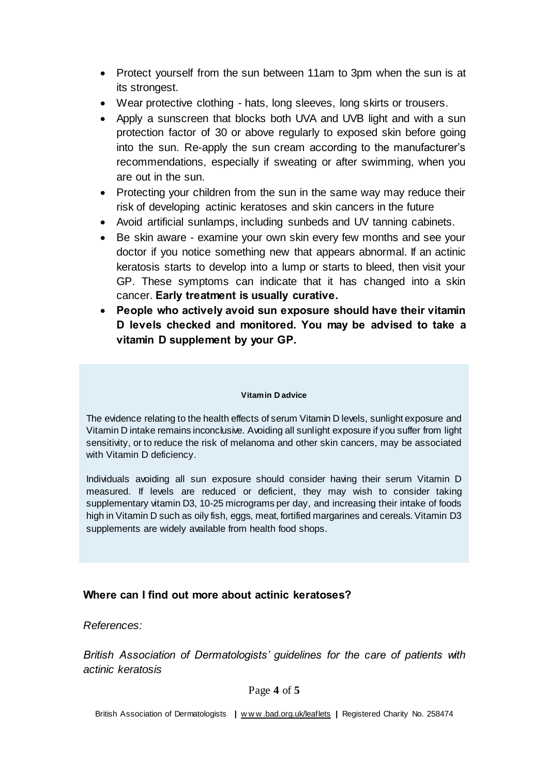- Protect yourself from the sun between 11am to 3pm when the sun is at its strongest.
- Wear protective clothing hats, long sleeves, long skirts or trousers.
- Apply a sunscreen that blocks both UVA and UVB light and with a sun protection factor of 30 or above regularly to exposed skin before going into the sun. Re-apply the sun cream according to the manufacturer's recommendations, especially if sweating or after swimming, when you are out in the sun.
- Protecting your children from the sun in the same way may reduce their risk of developing actinic keratoses and skin cancers in the future
- Avoid artificial sunlamps, including sunbeds and UV tanning cabinets.
- Be skin aware examine your own skin every few months and see your doctor if you notice something new that appears abnormal. If an actinic keratosis starts to develop into a lump or starts to bleed, then visit your GP. These symptoms can indicate that it has changed into a skin cancer. **Early treatment is usually curative.**
- **People who actively avoid sun exposure should have their vitamin D levels checked and monitored. You may be advised to take a vitamin D supplement by your GP.**

#### **Vitamin D advice**

The evidence relating to the health effects of serum Vitamin D levels, sunlight exposure and Vitamin D intake remains inconclusive. Avoiding all sunlight exposure if you suffer from light sensitivity, or to reduce the risk of melanoma and other skin cancers, may be associated with Vitamin D deficiency.

Individuals avoiding all sun exposure should consider having their serum Vitamin D measured. If levels are reduced or deficient, they may wish to consider taking supplementary vitamin D3, 10-25 micrograms per day, and increasing their intake of foods high in Vitamin D such as oily fish, eggs, meat, fortified margarines and cereals. Vitamin D3 supplements are widely available from health food shops.

#### **Where can I find out more about actinic keratoses?**

*References:*

*British Association of Dermatologists' guidelines for the care of patients with actinic keratosis*